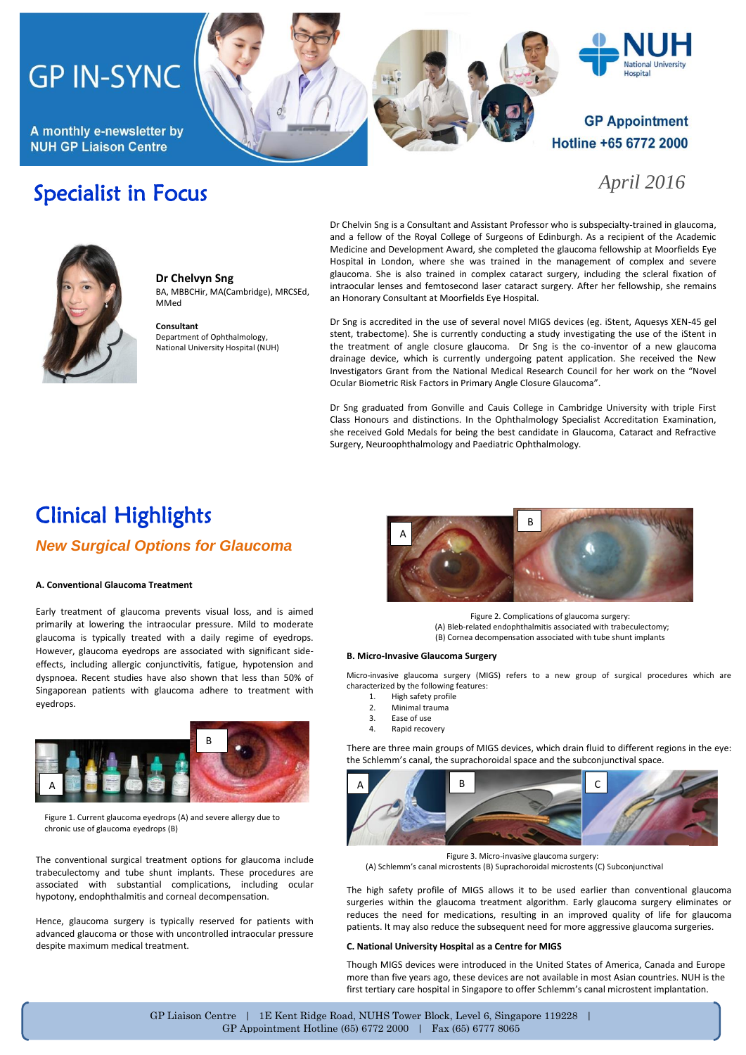# **GP IN-SYNC**

A monthly e-newsletter by **NUH GP Liaison Centre** 





### *April 2016*

**Hospital** 

## Specialist in Focus

Dr Chelvin Sng is a Consultant and Assistant Professor who is subspecialty-trained in glaucoma, and a fellow of the Royal College of Surgeons of Edinburgh. As a recipient of the Academic Medicine and Development Award, she completed the glaucoma fellowship at Moorfields Eye Hospital in London, where she was trained in the management of complex and severe glaucoma. She is also trained in complex cataract surgery, including the scleral fixation of intraocular lenses and femtosecond laser cataract surgery. After her fellowship, she remains an Honorary Consultant at Moorfields Eye Hospital.

Dr Sng is accredited in the use of several novel MIGS devices (eg. iStent, Aquesys XEN-45 gel stent, trabectome). She is currently conducting a study investigating the use of the iStent in the treatment of angle closure glaucoma. Dr Sng is the co-inventor of a new glaucoma drainage device, which is currently undergoing patent application. She received the New Investigators Grant from the National Medical Research Council for her work on the "Novel Ocular Biometric Risk Factors in Primary Angle Closure Glaucoma".

Dr Sng graduated from Gonville and Cauis College in Cambridge University with triple First Class Honours and distinctions. In the Ophthalmology Specialist Accreditation Examination, she received Gold Medals for being the best candidate in Glaucoma, Cataract and Refractive Surgery, Neuroophthalmology and Paediatric Ophthalmology.

## Clinical Highlights *New Surgical Options for Glaucoma*

**Dr Chelvyn Sng**

Department of Ophthalmology, National University Hospital (NUH)

MMed

**Consultant**

BA, MBBCHir, MA(Cambridge), MRCSEd,

### **A. Conventional Glaucoma Treatment**

Early treatment of glaucoma prevents visual loss, and is aimed primarily at lowering the intraocular pressure. Mild to moderate glaucoma is typically treated with a daily regime of eyedrops. However, glaucoma eyedrops are associated with significant sideeffects, including allergic conjunctivitis, fatigue, hypotension and dyspnoea. Recent studies have also shown that less than 50% of Singaporean patients with glaucoma adhere to treatment with eyedrops.



Figure 1. Current glaucoma eyedrops (A) and severe allergy due to chronic use of glaucoma eyedrops (B)

The conventional surgical treatment options for glaucoma include trabeculectomy and tube shunt implants. These procedures are associated with substantial complications, including ocular hypotony, endophthalmitis and corneal decompensation.

Hence, glaucoma surgery is typically reserved for patients with advanced glaucoma or those with uncontrolled intraocular pressure despite maximum medical treatment.



Figure 2. Complications of glaucoma surgery: (A) Bleb-related endophthalmitis associated with trabeculectomy; (B) Cornea decompensation associated with tube shunt implants

#### **B. Micro-Invasive Glaucoma Surgery**

Micro-invasive glaucoma surgery (MIGS) refers to a new group of surgical procedures which are characterized by the following features:

- 1. High safety profile<br>2. Minimal trauma
- 2. Minimal trauma<br>3. Ease of use
- Ease of use
- 4. Rapid recovery

There are three main groups of MIGS devices, which drain fluid to different regions in the eye: the Schlemm's canal, the suprachoroidal space and the subconjunctival space.



Figure 3. Micro-invasive glaucoma surgery: (A) Schlemm's canal microstents (B) Suprachoroidal microstents (C) Subconjunctival

The high safety profile of MIGS allows it to be used earlier than conventional glaucoma surgeries within the glaucoma treatment algorithm. Early glaucoma surgery eliminates or reduces the need for medications, resulting in an improved quality of life for glaucoma patients. It may also reduce the subsequent need for more aggressive glaucoma surgeries.

#### **C. National University Hospital as a Centre for MIGS**

Though MIGS devices were introduced in the United States of America, Canada and Europe more than five years ago, these devices are not available in most Asian countries. NUH is the first tertiary care hospital in Singapore to offer Schlemm's canal microstent implantation.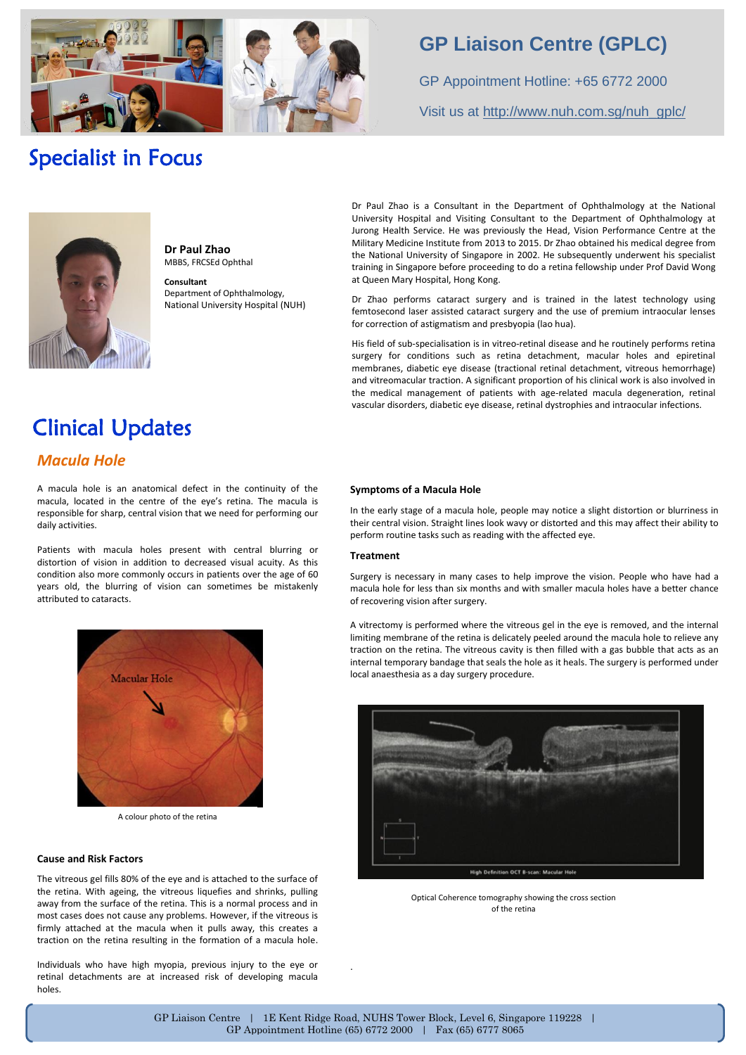

## **GP Liaison Centre (GPLC)**

GP Appointment Hotline: +65 6772 2000 Visit us at [http://www.nuh.com.sg/nuh\\_gplc/](http://www.nuh.com.sg/nuh_gplc/)

## Specialist in Focus



**Dr Paul Zhao** MBBS, FRCSEd Ophthal **Consultant**

Department of Ophthalmology, National University Hospital (NUH) Dr Paul Zhao is a Consultant in the Department of Ophthalmology at the National University Hospital and Visiting Consultant to the Department of Ophthalmology at Jurong Health Service. He was previously the Head, Vision Performance Centre at the Military Medicine Institute from 2013 to 2015. Dr Zhao obtained his medical degree from the National University of Singapore in 2002. He subsequently underwent his specialist training in Singapore before proceeding to do a retina fellowship under Prof David Wong at Queen Mary Hospital, Hong Kong.

Dr Zhao performs cataract surgery and is trained in the latest technology using femtosecond laser assisted cataract surgery and the use of premium intraocular lenses for correction of astigmatism and presbyopia (lao hua).

His field of sub-specialisation is in vitreo-retinal disease and he routinely performs retina surgery for conditions such as retina detachment, macular holes and epiretinal membranes, diabetic eye disease (tractional retinal detachment, vitreous hemorrhage) and vitreomacular traction. A significant proportion of his clinical work is also involved in the medical management of patients with age-related macula degeneration, retinal vascular disorders, diabetic eye disease, retinal dystrophies and intraocular infections.

## Clinical Updates

### *Macula Hole*

A macula hole is an anatomical defect in the continuity of the macula, located in the centre of the eye's retina. The macula is responsible for sharp, central vision that we need for performing our daily activities.

Patients with macula holes present with central blurring or distortion of vision in addition to decreased visual acuity. As this condition also more commonly occurs in patients over the age of 60 years old, the blurring of vision can sometimes be mistakenly attributed to cataracts.



A colour photo of the retina

### **Cause and Risk Factors**

The vitreous gel fills 80% of the eye and is attached to the surface of the retina. With ageing, the vitreous liquefies and shrinks, pulling away from the surface of the retina. This is a normal process and in most cases does not cause any problems. However, if the vitreous is firmly attached at the macula when it pulls away, this creates a traction on the retina resulting in the formation of a macula hole.

Individuals who have high myopia, previous injury to the eye or retinal detachments are at increased risk of developing macula holes.

### **Symptoms of a Macula Hole**

In the early stage of a macula hole, people may notice a slight distortion or blurriness in their central vision. Straight lines look wavy or distorted and this may affect their ability to perform routine tasks such as reading with the affected eye.

### **Treatment**

Surgery is necessary in many cases to help improve the vision. People who have had a macula hole for less than six months and with smaller macula holes have a better chance of recovering vision after surgery.

A vitrectomy is performed where the vitreous gel in the eye is removed, and the internal limiting membrane of the retina is delicately peeled around the macula hole to relieve any traction on the retina. The vitreous cavity is then filled with a gas bubble that acts as an internal temporary bandage that seals the hole as it heals. The surgery is performed under local anaesthesia as a day surgery procedure.



High Definition OCT B-scan: Macular H

Optical Coherence tomography showing the cross section of the retina

.